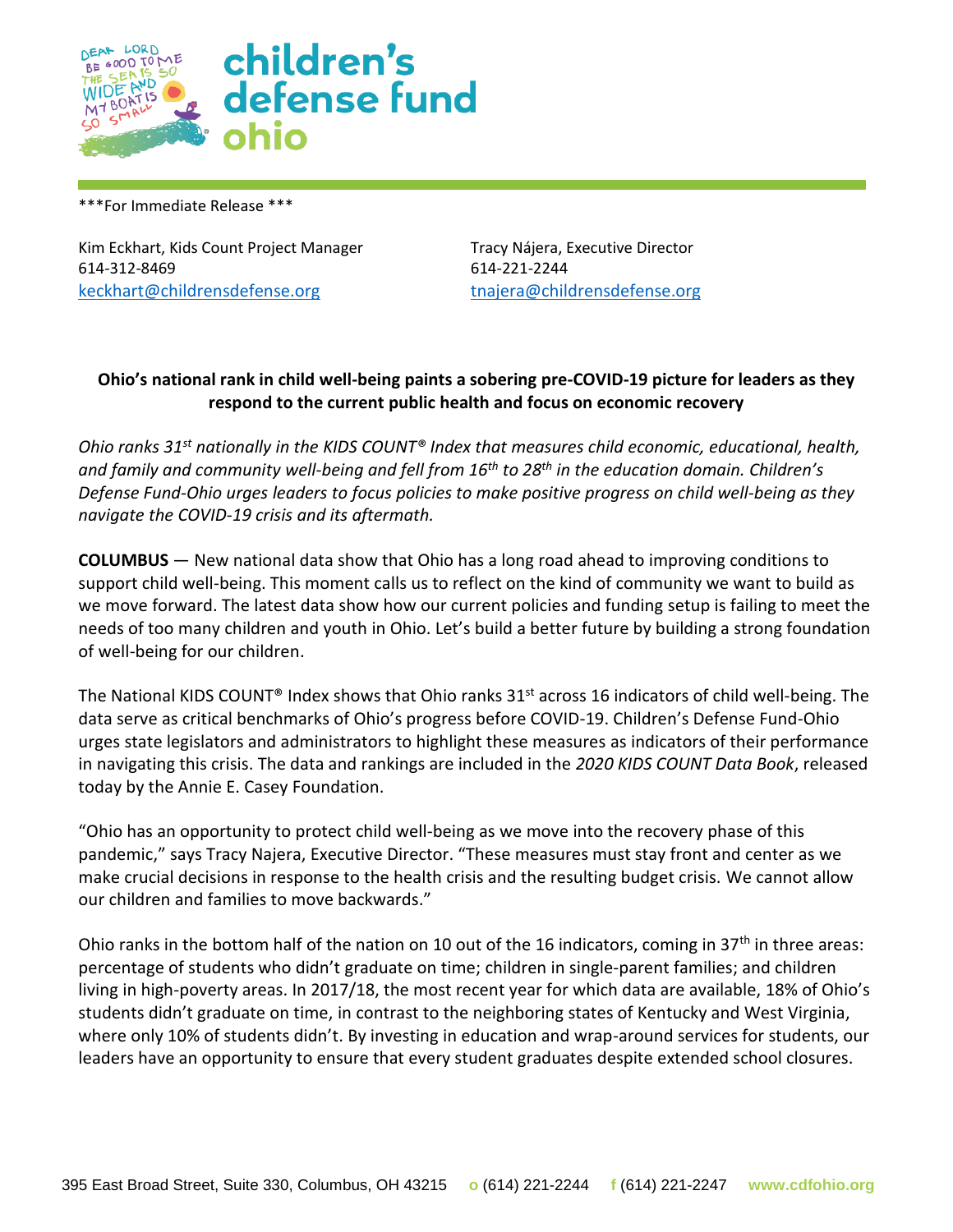

\*\*\*For Immediate Release \*\*\*

Kim Eckhart, Kids Count Project Manager Tracy Nájera, Executive Director 614-312-8469 614-221-2244 [keckhart@childrensdefense.org](mailto:keckhart@childrensdefense.org) [tnajera@childrensdefense.org](mailto:tnajera@childrensdefense.org)

## **Ohio's national rank in child well-being paints a sobering pre-COVID-19 picture for leaders as they respond to the current public health and focus on economic recovery**

*Ohio ranks 31st nationally in the KIDS COUNT® Index that measures child economic, educational, health, and family and community well-being and fell from 16th to 28th in the education domain. Children's Defense Fund-Ohio urges leaders to focus policies to make positive progress on child well-being as they navigate the COVID-19 crisis and its aftermath.*

**COLUMBUS** — New national data show that Ohio has a long road ahead to improving conditions to support child well-being. This moment calls us to reflect on the kind of community we want to build as we move forward. The latest data show how our current policies and funding setup is failing to meet the needs of too many children and youth in Ohio. Let's build a better future by building a strong foundation of well-being for our children.

The National KIDS COUNT<sup>®</sup> Index shows that Ohio ranks 31<sup>st</sup> across 16 indicators of child well-being. The data serve as critical benchmarks of Ohio's progress before COVID-19. Children's Defense Fund-Ohio urges state legislators and administrators to highlight these measures as indicators of their performance in navigating this crisis. The data and rankings are included in the *2020 KIDS COUNT Data Book*, released today by the Annie E. Casey Foundation.

"Ohio has an opportunity to protect child well-being as we move into the recovery phase of this pandemic," says Tracy Najera, Executive Director. "These measures must stay front and center as we make crucial decisions in response to the health crisis and the resulting budget crisis. We cannot allow our children and families to move backwards."

Ohio ranks in the bottom half of the nation on 10 out of the 16 indicators, coming in 37<sup>th</sup> in three areas: percentage of students who didn't graduate on time; children in single-parent families; and children living in high-poverty areas. In 2017/18, the most recent year for which data are available, 18% of Ohio's students didn't graduate on time, in contrast to the neighboring states of Kentucky and West Virginia, where only 10% of students didn't. By investing in education and wrap-around services for students, our leaders have an opportunity to ensure that every student graduates despite extended school closures.